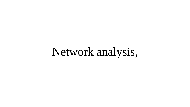# Network analysis,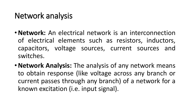#### Network analysis

- •**Network:** An electrical network is an interconnection of electrical elements such as resistors, inductors, capacitors, voltage sources, current sources and switches.
- •**Network Analysis:** The analysis of any network means to obtain response (like voltage across any branch or current passes through any branch) of a network for a known excitation (i.e. input signal).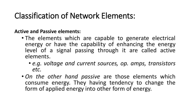### Classification of Network Elements:

**Active and Passive elements:**

- The elements which are capable to generate electrical energy or have the capability of enhancing the energy level of a signal passing through it are called active elements.
	- *e.g. voltage and current sources, op. amps, transistors etc.*
- *On the other hand passive* are those elements which consume energy. They having tendency to change the form of applied energy into other form of energy.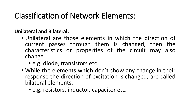# Classification of Network Elements:

**Unilateral and Bilateral:**

- Unilateral are those elements in which the direction of current passes through them is changed, then the characteristics or properties of the circuit may also change.
	- e.g. diode, transistors etc.
- While the elements which don't show any change in their response the direction of excitation is changed, are called bilateral elements,
	- e.g. resistors, inductor, capacitor etc.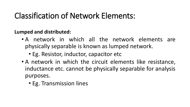# Classification of Network Elements:

**Lumped and distributed:**

- A network in which all the network elements are physically separable is known as lumped network.
	- Eg. Resistor, inductor, capacitor etc
- A network in which the circuit elements like resistance, inductance etc. cannot be physically separable for analysis purposes.
	- Eg. Transmission lines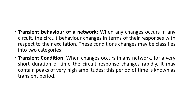#### • **Transient behaviour of a network:** When any changes occurs in any circuit, the circuit behaviour changes in terms of their responses with respect to their excitation. These conditions changes may be classifies into two categories:

• **Transient Condition**: When changes occurs in any network, for a very short duration of time the circuit response changes rapidly. It may contain peaks of very high amplitudes; this period of time is known as transient period.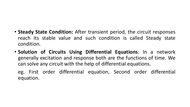- **Steady State Condition:** After transient period, the circuit responses reach its stable value and such condition is called Steady state condition.
- **Solution of Circuits Using Differential Equations**: In a network generally excitation and response both are the functions of time. We can solve any circuit with the help of differential equations.

eg. First order differential equation, Second order differential equation.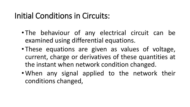#### Initial Conditions in Circuits:

- The behaviour of any electrical circuit can be examined using differential equations.
- These equations are given as values of voltage, current, charge or derivatives of these quantities at the instant when network condition changed.
- When any signal applied to the network their conditions changed,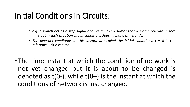#### Initial Conditions in Circuits:

- *e.g. a switch act as a step signal and we always assumes that a switch operate in zero time but in such situation circuit conditions doesn't changes instantly.*
- *The network conditions at this instant are called the initial conditions.* t = 0 is the reference value of time.
- The time instant at which the condition of network is not yet changed but it is about to be changed is denoted as  $t(0-)$ , while  $t(0+)$  is the instant at which the conditions of network is just changed.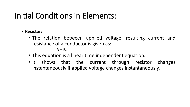### Initial Conditions in Elements:

- **Resistor:**
	- The relation between applied voltage, resulting current and resistance of a conductor is given as:

 $V = IR$ 

- This equation is a linear time independent equation.
- It shows that the current through resistor changes instantaneously if applied voltage changes instantaneously.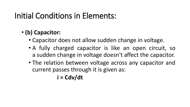### Initial Conditions in Elements:

#### • **(b) Capacitor:**

- Capacitor does not allow sudden change in voltage.
- A fully charged capacitor is like an open circuit, so a sudden change in voltage doesn't affect the capacitor.
- The relation between voltage across any capacitor and current passes through it is given as:

**i = Cdv/dt**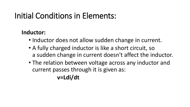### Initial Conditions in Elements:

#### **Inductor:**

- Inductor does not allow sudden change in current.
- A fully charged inductor is like a short circuit, so a sudden change in current doesn't affect the inductor.
- The relation between voltage across any inductor and current passes through it is given as: **v=Ldi/dt**